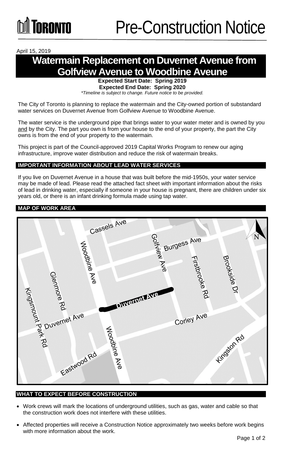#### April 15, 2019

## **Watermain Replacement on Duvernet Avenue from Golfview Avenue to Woodbine Aveune**

**Expected Start Date: Spring 2019 Expected End Date: Spring 2020**

*\*Timeline is subject to change. Future notice to be provided.*

The City of Toronto is planning to replace the watermain and the City-owned portion of substandard water services on Duvernet Avenue from Golfview Avenue to Woodbine Avenue.

The water service is the underground pipe that brings water to your water meter and is owned by you and by the City. The part you own is from your house to the end of your property, the part the City owns is from the end of your property to the watermain.

This project is part of the Council-approved 2019 Capital Works Program to renew our aging infrastructure, improve water distribution and reduce the risk of watermain breaks.

#### **IMPORTANT INFORMATION ABOUT LEAD WATER SERVICES**

If you live on Duvernet Avenue in a house that was built before the mid-1950s, your water service may be made of lead. Please read the attached fact sheet with important information about the risks of lead in drinking water, especially if someone in your house is pregnant, there are children under six years old, or there is an infant drinking formula made using tap water.

#### **MAP OF WORK AREA**



#### **WHAT TO EXPECT BEFORE CONSTRUCTION**

- Work crews will mark the locations of underground utilities, such as gas, water and cable so that the construction work does not interfere with these utilities.
- Affected properties will receive a Construction Notice approximately two weeks before work begins with more information about the work.